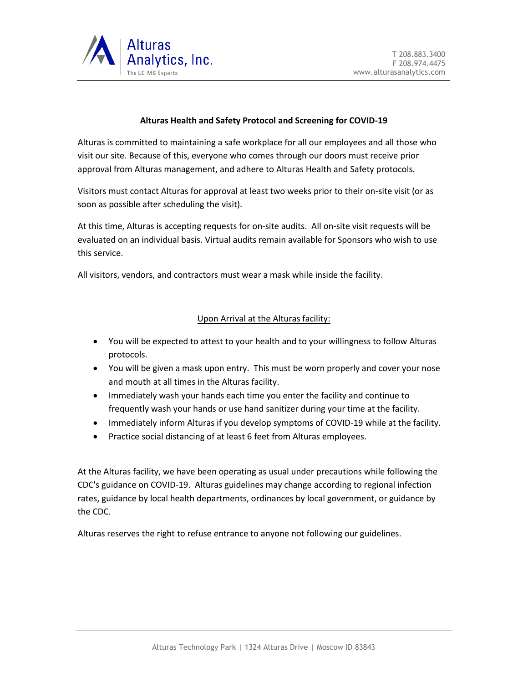

## **Alturas Health and Safety Protocol and Screening for COVID-19**

Alturas is committed to maintaining a safe workplace for all our employees and all those who visit our site. Because of this, everyone who comes through our doors must receive prior approval from Alturas management, and adhere to Alturas Health and Safety protocols.

Visitors must contact Alturas for approval at least two weeks prior to their on-site visit (or as soon as possible after scheduling the visit).

At this time, Alturas is accepting requests for on-site audits. All on-site visit requests will be evaluated on an individual basis. Virtual audits remain available for Sponsors who wish to use this service.

All visitors, vendors, and contractors must wear a mask while inside the facility.

## Upon Arrival at the Alturas facility:

- You will be expected to attest to your health and to your willingness to follow Alturas protocols.
- You will be given a mask upon entry. This must be worn properly and cover your nose and mouth at all times in the Alturas facility.
- Immediately wash your hands each time you enter the facility and continue to frequently wash your hands or use hand sanitizer during your time at the facility.
- Immediately inform Alturas if you develop symptoms of COVID-19 while at the facility.
- Practice social distancing of at least 6 feet from Alturas employees.

At the Alturas facility, we have been operating as usual under precautions while following the CDC's guidance on COVID-19. Alturas guidelines may change according to regional infection rates, guidance by local health departments, ordinances by local government, or guidance by the CDC.

Alturas reserves the right to refuse entrance to anyone not following our guidelines.